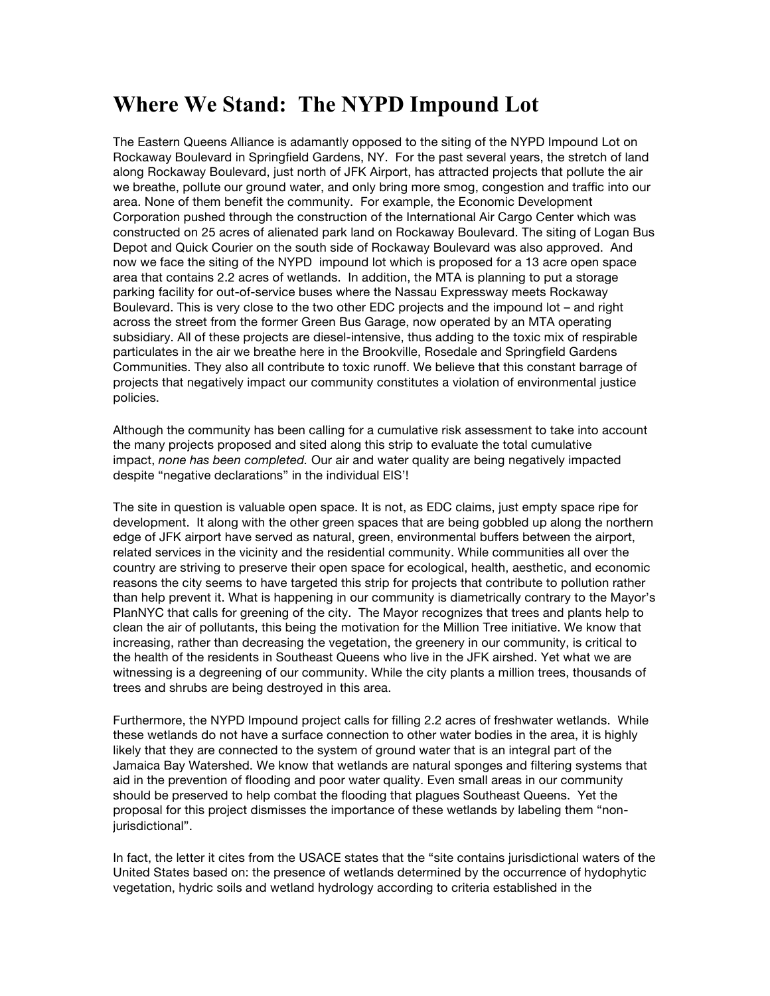## **Where We Stand: The NYPD Impound Lot**

The Eastern Queens Alliance is adamantly opposed to the siting of the NYPD Impound Lot on Rockaway Boulevard in Springfield Gardens, NY. For the past several years, the stretch of land along Rockaway Boulevard, just north of JFK Airport, has attracted projects that pollute the air we breathe, pollute our ground water, and only bring more smog, congestion and traffic into our area. None of them benefit the community. For example, the Economic Development Corporation pushed through the construction of the International Air Cargo Center which was constructed on 25 acres of alienated park land on Rockaway Boulevard. The siting of Logan Bus Depot and Quick Courier on the south side of Rockaway Boulevard was also approved. And now we face the siting of the NYPD impound lot which is proposed for a 13 acre open space area that contains 2.2 acres of wetlands. In addition, the MTA is planning to put a storage parking facility for out-of-service buses where the Nassau Expressway meets Rockaway Boulevard. This is very close to the two other EDC projects and the impound lot – and right across the street from the former Green Bus Garage, now operated by an MTA operating subsidiary. All of these projects are diesel-intensive, thus adding to the toxic mix of respirable particulates in the air we breathe here in the Brookville, Rosedale and Springfield Gardens Communities. They also all contribute to toxic runoff. We believe that this constant barrage of projects that negatively impact our community constitutes a violation of environmental justice policies.

Although the community has been calling for a cumulative risk assessment to take into account the many projects proposed and sited along this strip to evaluate the total cumulative impact, *none has been completed.* Our air and water quality are being negatively impacted despite "negative declarations" in the individual EIS'!

The site in question is valuable open space. It is not, as EDC claims, just empty space ripe for development. It along with the other green spaces that are being gobbled up along the northern edge of JFK airport have served as natural, green, environmental buffers between the airport, related services in the vicinity and the residential community. While communities all over the country are striving to preserve their open space for ecological, health, aesthetic, and economic reasons the city seems to have targeted this strip for projects that contribute to pollution rather than help prevent it. What is happening in our community is diametrically contrary to the Mayor's PlanNYC that calls for greening of the city. The Mayor recognizes that trees and plants help to clean the air of pollutants, this being the motivation for the Million Tree initiative. We know that increasing, rather than decreasing the vegetation, the greenery in our community, is critical to the health of the residents in Southeast Queens who live in the JFK airshed. Yet what we are witnessing is a degreening of our community. While the city plants a million trees, thousands of trees and shrubs are being destroyed in this area.

Furthermore, the NYPD Impound project calls for filling 2.2 acres of freshwater wetlands. While these wetlands do not have a surface connection to other water bodies in the area, it is highly likely that they are connected to the system of ground water that is an integral part of the Jamaica Bay Watershed. We know that wetlands are natural sponges and filtering systems that aid in the prevention of flooding and poor water quality. Even small areas in our community should be preserved to help combat the flooding that plagues Southeast Queens. Yet the proposal for this project dismisses the importance of these wetlands by labeling them "nonjurisdictional".

In fact, the letter it cites from the USACE states that the "site contains jurisdictional waters of the United States based on: the presence of wetlands determined by the occurrence of hydophytic vegetation, hydric soils and wetland hydrology according to criteria established in the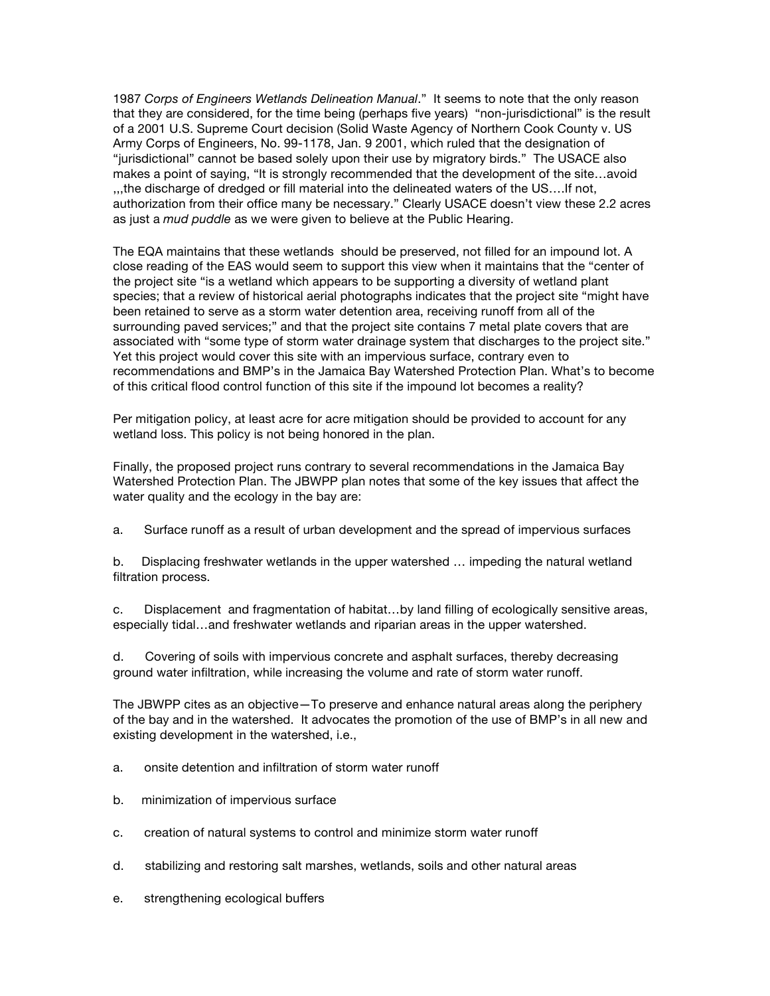1987 *Corps of Engineers Wetlands Delineation Manual*." It seems to note that the only reason that they are considered, for the time being (perhaps five years) "non-jurisdictional" is the result of a 2001 U.S. Supreme Court decision (Solid Waste Agency of Northern Cook County v. US Army Corps of Engineers, No. 99-1178, Jan. 9 2001, which ruled that the designation of "jurisdictional" cannot be based solely upon their use by migratory birds." The USACE also makes a point of saying, "It is strongly recommended that the development of the site…avoid ,,,the discharge of dredged or fill material into the delineated waters of the US….If not, authorization from their office many be necessary." Clearly USACE doesn't view these 2.2 acres as just a *mud puddle* as we were given to believe at the Public Hearing.

The EQA maintains that these wetlands should be preserved, not filled for an impound lot. A close reading of the EAS would seem to support this view when it maintains that the "center of the project site "is a wetland which appears to be supporting a diversity of wetland plant species; that a review of historical aerial photographs indicates that the project site "might have been retained to serve as a storm water detention area, receiving runoff from all of the surrounding paved services;" and that the project site contains 7 metal plate covers that are associated with "some type of storm water drainage system that discharges to the project site." Yet this project would cover this site with an impervious surface, contrary even to recommendations and BMP's in the Jamaica Bay Watershed Protection Plan. What's to become of this critical flood control function of this site if the impound lot becomes a reality?

Per mitigation policy, at least acre for acre mitigation should be provided to account for any wetland loss. This policy is not being honored in the plan.

Finally, the proposed project runs contrary to several recommendations in the Jamaica Bay Watershed Protection Plan. The JBWPP plan notes that some of the key issues that affect the water quality and the ecology in the bay are:

a. Surface runoff as a result of urban development and the spread of impervious surfaces

b. Displacing freshwater wetlands in the upper watershed … impeding the natural wetland filtration process.

c. Displacement and fragmentation of habitat…by land filling of ecologically sensitive areas, especially tidal…and freshwater wetlands and riparian areas in the upper watershed.

d. Covering of soils with impervious concrete and asphalt surfaces, thereby decreasing ground water infiltration, while increasing the volume and rate of storm water runoff.

The JBWPP cites as an objective—To preserve and enhance natural areas along the periphery of the bay and in the watershed. It advocates the promotion of the use of BMP's in all new and existing development in the watershed, i.e.,

- a. onsite detention and infiltration of storm water runoff
- b. minimization of impervious surface
- c. creation of natural systems to control and minimize storm water runoff
- d. stabilizing and restoring salt marshes, wetlands, soils and other natural areas
- e. strengthening ecological buffers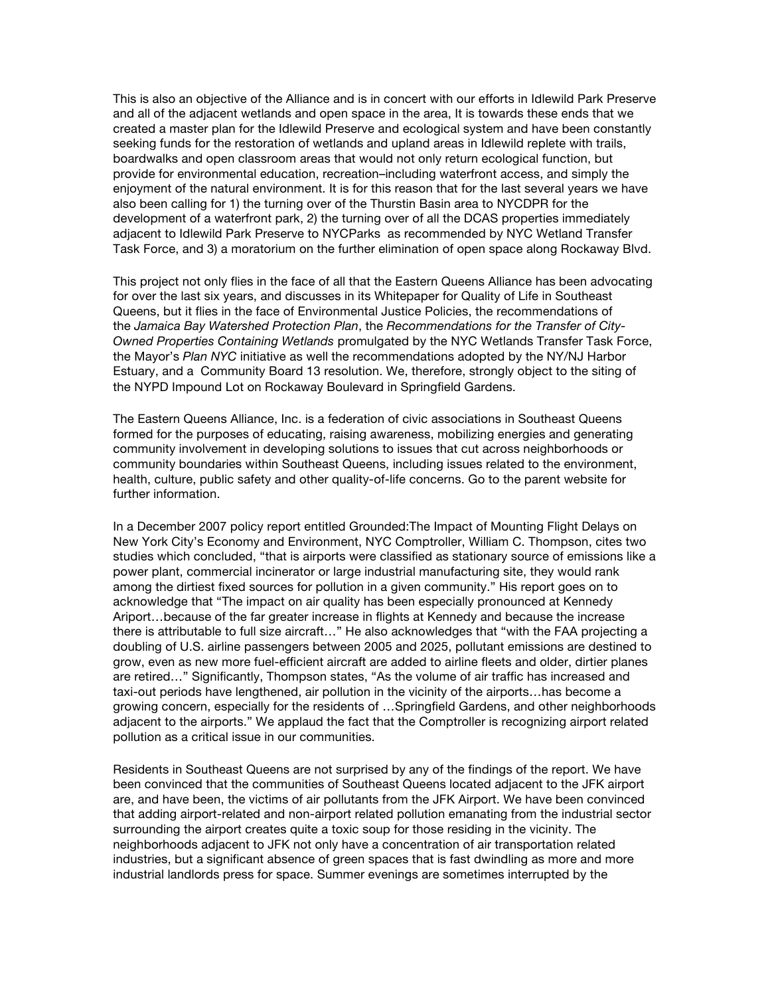This is also an objective of the Alliance and is in concert with our efforts in Idlewild Park Preserve and all of the adjacent wetlands and open space in the area, It is towards these ends that we created a master plan for the Idlewild Preserve and ecological system and have been constantly seeking funds for the restoration of wetlands and upland areas in Idlewild replete with trails, boardwalks and open classroom areas that would not only return ecological function, but provide for environmental education, recreation–including waterfront access, and simply the enjoyment of the natural environment. It is for this reason that for the last several years we have also been calling for 1) the turning over of the Thurstin Basin area to NYCDPR for the development of a waterfront park, 2) the turning over of all the DCAS properties immediately adjacent to Idlewild Park Preserve to NYCParks as recommended by NYC Wetland Transfer Task Force, and 3) a moratorium on the further elimination of open space along Rockaway Blvd.

This project not only flies in the face of all that the Eastern Queens Alliance has been advocating for over the last six years, and discusses in its Whitepaper for Quality of Life in Southeast Queens, but it flies in the face of Environmental Justice Policies, the recommendations of the *Jamaica Bay Watershed Protection Plan*, the *Recommendations for the Transfer of City-Owned Properties Containing Wetlands* promulgated by the NYC Wetlands Transfer Task Force, the Mayor's *Plan NYC* initiative as well the recommendations adopted by the NY/NJ Harbor Estuary, and a Community Board 13 resolution. We, therefore, strongly object to the siting of the NYPD Impound Lot on Rockaway Boulevard in Springfield Gardens.

The Eastern Queens Alliance, Inc. is a federation of civic associations in Southeast Queens formed for the purposes of educating, raising awareness, mobilizing energies and generating community involvement in developing solutions to issues that cut across neighborhoods or community boundaries within Southeast Queens, including issues related to the environment, health, culture, public safety and other quality-of-life concerns. Go to the parent website for further information.

In a December 2007 policy report entitled Grounded:The Impact of Mounting Flight Delays on New York City's Economy and Environment, NYC Comptroller, William C. Thompson, cites two studies which concluded, "that is airports were classified as stationary source of emissions like a power plant, commercial incinerator or large industrial manufacturing site, they would rank among the dirtiest fixed sources for pollution in a given community." His report goes on to acknowledge that "The impact on air quality has been especially pronounced at Kennedy Ariport…because of the far greater increase in flights at Kennedy and because the increase there is attributable to full size aircraft…" He also acknowledges that "with the FAA projecting a doubling of U.S. airline passengers between 2005 and 2025, pollutant emissions are destined to grow, even as new more fuel-efficient aircraft are added to airline fleets and older, dirtier planes are retired…" Significantly, Thompson states, "As the volume of air traffic has increased and taxi-out periods have lengthened, air pollution in the vicinity of the airports…has become a growing concern, especially for the residents of …Springfield Gardens, and other neighborhoods adjacent to the airports." We applaud the fact that the Comptroller is recognizing airport related pollution as a critical issue in our communities.

Residents in Southeast Queens are not surprised by any of the findings of the report. We have been convinced that the communities of Southeast Queens located adjacent to the JFK airport are, and have been, the victims of air pollutants from the JFK Airport. We have been convinced that adding airport-related and non-airport related pollution emanating from the industrial sector surrounding the airport creates quite a toxic soup for those residing in the vicinity. The neighborhoods adjacent to JFK not only have a concentration of air transportation related industries, but a significant absence of green spaces that is fast dwindling as more and more industrial landlords press for space. Summer evenings are sometimes interrupted by the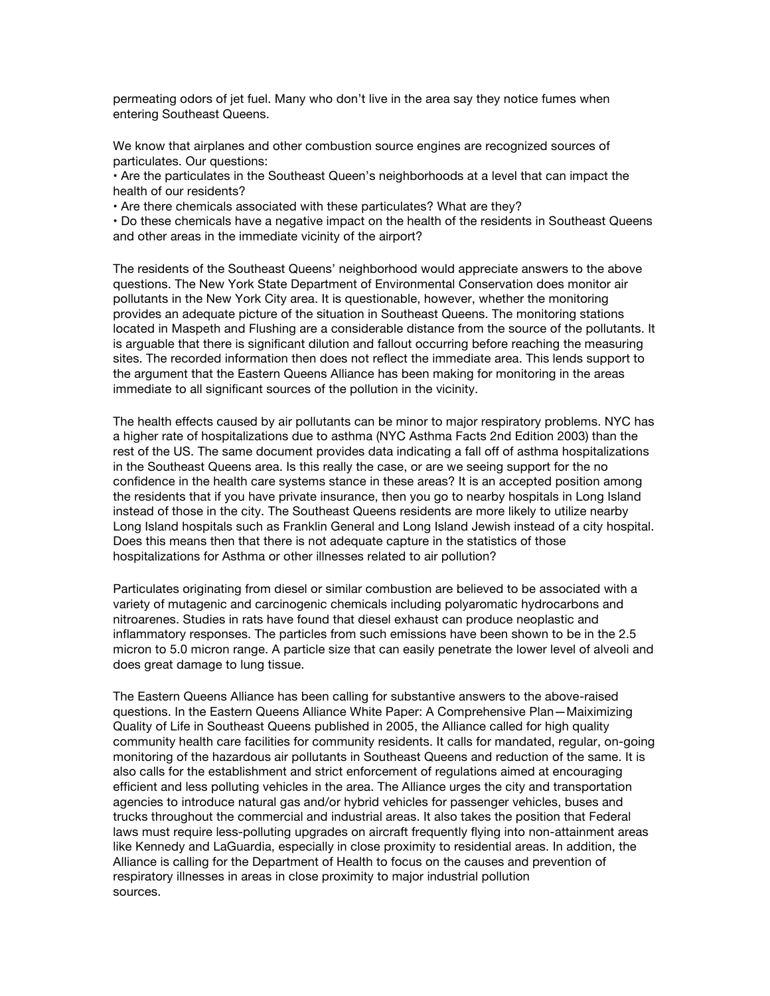permeating odors of jet fuel. Many who don't live in the area say they notice fumes when entering Southeast Queens.

We know that airplanes and other combustion source engines are recognized sources of particulates. Our questions:

• Are the particulates in the Southeast Queen's neighborhoods at a level that can impact the health of our residents?

• Are there chemicals associated with these particulates? What are they?

• Do these chemicals have a negative impact on the health of the residents in Southeast Queens and other areas in the immediate vicinity of the airport?

The residents of the Southeast Queens' neighborhood would appreciate answers to the above questions. The New York State Department of Environmental Conservation does monitor air pollutants in the New York City area. It is questionable, however, whether the monitoring provides an adequate picture of the situation in Southeast Queens. The monitoring stations located in Maspeth and Flushing are a considerable distance from the source of the pollutants. It is arguable that there is significant dilution and fallout occurring before reaching the measuring sites. The recorded information then does not reflect the immediate area. This lends support to the argument that the Eastern Queens Alliance has been making for monitoring in the areas immediate to all significant sources of the pollution in the vicinity.

The health effects caused by air pollutants can be minor to major respiratory problems. NYC has a higher rate of hospitalizations due to asthma (NYC Asthma Facts 2nd Edition 2003) than the rest of the US. The same document provides data indicating a fall off of asthma hospitalizations in the Southeast Queens area. Is this really the case, or are we seeing support for the no confidence in the health care systems stance in these areas? It is an accepted position among the residents that if you have private insurance, then you go to nearby hospitals in Long Island instead of those in the city. The Southeast Queens residents are more likely to utilize nearby Long Island hospitals such as Franklin General and Long Island Jewish instead of a city hospital. Does this means then that there is not adequate capture in the statistics of those hospitalizations for Asthma or other illnesses related to air pollution?

Particulates originating from diesel or similar combustion are believed to be associated with a variety of mutagenic and carcinogenic chemicals including polyaromatic hydrocarbons and nitroarenes. Studies in rats have found that diesel exhaust can produce neoplastic and inflammatory responses. The particles from such emissions have been shown to be in the 2.5 micron to 5.0 micron range. A particle size that can easily penetrate the lower level of alveoli and does great damage to lung tissue.

The Eastern Queens Alliance has been calling for substantive answers to the above-raised questions. In the Eastern Queens Alliance White Paper: A Comprehensive Plan—Maiximizing Quality of Life in Southeast Queens published in 2005, the Alliance called for high quality community health care facilities for community residents. It calls for mandated, regular, on-going monitoring of the hazardous air pollutants in Southeast Queens and reduction of the same. It is also calls for the establishment and strict enforcement of regulations aimed at encouraging efficient and less polluting vehicles in the area. The Alliance urges the city and transportation agencies to introduce natural gas and/or hybrid vehicles for passenger vehicles, buses and trucks throughout the commercial and industrial areas. It also takes the position that Federal laws must require less-polluting upgrades on aircraft frequently flying into non-attainment areas like Kennedy and LaGuardia, especially in close proximity to residential areas. In addition, the Alliance is calling for the Department of Health to focus on the causes and prevention of respiratory illnesses in areas in close proximity to major industrial pollution sources.